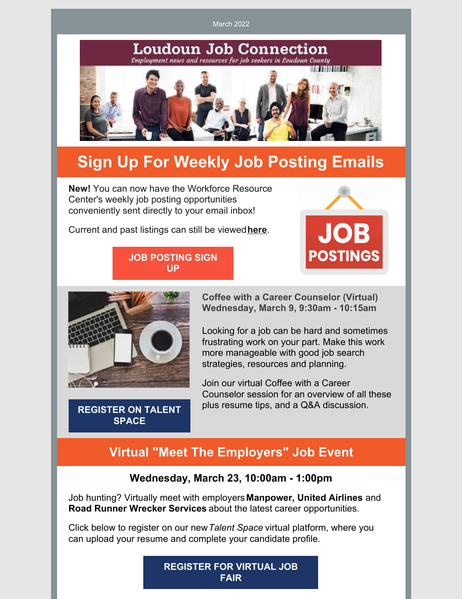March 2022



# **Sign Up For Weekly Job Posting Emails**

**New!** You can now have the Workforce Resource Center's weekly job posting opportunities conveniently sent directly to your email inbox!

Current and past listings can still be viewed**[here](https://www.loudoun.gov/3376/Job-Opportunities)**.

**JOB [POSTING](https://lp.constantcontactpages.com/su/aVHVf0L?source_id=46d01607-4873-4abc-a7f3-3253a41a3aac&source_type=em&c=) SIGN UP**





**[REGISTER](https://app.talentspace.io/landing/31124322231032313) ON TALENT SPACE**

**Coffee with a Career Counselor (Virtual) Wednesday, March 9, 9:30am - 10:15am**

Looking for a job can be hard and sometimes frustrating work on your part. Make this work more manageable with good job search strategies, resources and planning.

Join our virtual Coffee with a Career Counselor session for an overview of all these plus resume tips, and a Q&A discussion.

## **Virtual "Meet The Employers" Job Event**

### **Wednesday, March 23, 10:00am - 1:00pm**

Job hunting? Virtually meet with employers**Manpower, United Airlines** and **Road Runner Wrecker Services** about the latest career opportunities.

Click below to register on our new*Talent Space* virtual platform, where you can upload your resume and complete your candidate profile.

### **[REGISTER](https://app.talentspace.io/landing/221110130032010112) FOR VIRTUAL JOB FAIR**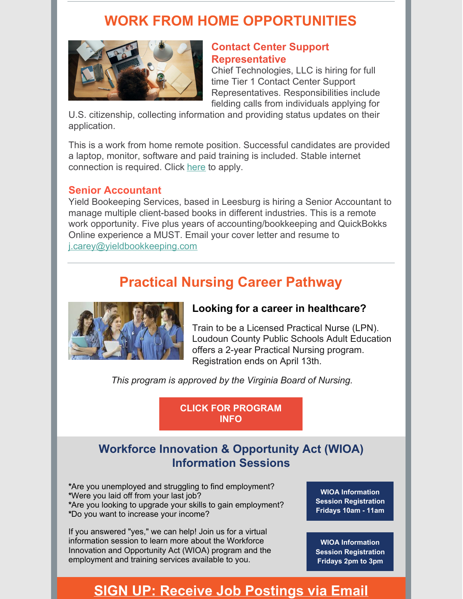## **WORK FROM HOME OPPORTUNITIES**



## **Contact Center Support Representative**

Chief Technologies, LLC is hiring for full time Tier 1 Contact Center Support Representatives. Responsibilities include fielding calls from individuals applying for

U.S. citizenship, collecting information and providing status updates on their application.

This is a work from home remote position. Successful candidates are provided a laptop, monitor, software and paid training is included. Stable internet connection is required. Click [here](https://www.chieftech.com/contactcenter) to apply.

### **Senior Accountant**

Yield Bookeeping Services, based in Leesburg is hiring a Senior Accountant to manage multiple client-based books in different industries. This is a remote work opportunity. Five plus years of accounting/bookkeeping and QuickBokks Online experience a MUST. Email your cover letter and resume to [j.carey@yieldbookkeeping.com](mailto:j.carey@yieldbookkeeping.com)

# **Practical Nursing Career Pathway**



### **Looking for a career in healthcare?**

Train to be a Licensed Practical Nurse (LPN). Loudoun County Public Schools Adult Education offers a 2-year Practical Nursing program. Registration ends on April 13th.

*This program is approved by the Virginia Board of Nursing.*

#### **CLICK FOR [PROGRAM](http://www.lcps.org/adulted) INFO**

## **Workforce Innovation & Opportunity Act (WIOA) Information Sessions**

**\***Are you unemployed and struggling to find employment? **\***Were you laid off from your last job? **\***Are you looking to upgrade your skills to gain employment? **\***Do you want to increase your income?

If you answered "yes," we can help! Join us for a virtual information session to learn more about the Workforce Innovation and Opportunity Act (WIOA) program and the employment and training services available to you.

**WIOA Information Session [Registration](https://vccs.zoom.us/meeting/register/tZwodumpqjkrG9UgOvHewkw5vd5RuDV6frVO) Fridays 10am - 11am**

**WIOA Information Session [Registration](https://vccs.zoom.us/meeting/register/tZErfu2trzIoH9CIn9R6G-9nBavw3Xt7Tmj2) Fridays 2pm to 3pm**

# **SIGN UP: Receive Job [Postings](https://lp.constantcontactpages.com/su/aVHVf0L?source_id=46d01607-4873-4abc-a7f3-3253a41a3aac&source_type=em&c=) via Email**